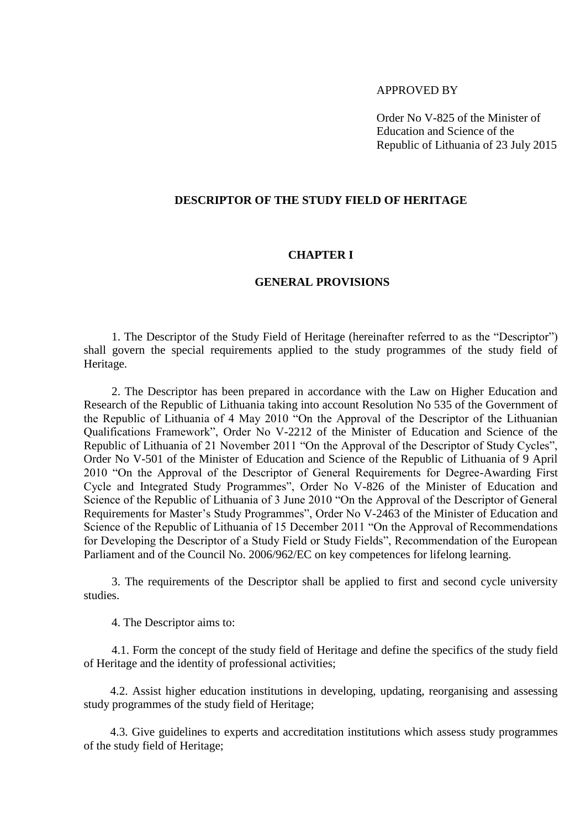## APPROVED BY

Order No V-825 of the Minister of Education and Science of the Republic of Lithuania of 23 July 2015

## **DESCRIPTOR OF THE STUDY FIELD OF HERITAGE**

#### **CHAPTER I**

#### **GENERAL PROVISIONS**

1. The Descriptor of the Study Field of Heritage (hereinafter referred to as the "Descriptor") shall govern the special requirements applied to the study programmes of the study field of Heritage.

2. The Descriptor has been prepared in accordance with the Law on Higher Education and Research of the Republic of Lithuania taking into account Resolution No 535 of the Government of the Republic of Lithuania of 4 May 2010 "On the Approval of the Descriptor of the Lithuanian Qualifications Framework", Order No V-2212 of the Minister of Education and Science of the Republic of Lithuania of 21 November 2011 "On the Approval of the Descriptor of Study Cycles", Order No V-501 of the Minister of Education and Science of the Republic of Lithuania of 9 April 2010 "On the Approval of the Descriptor of General Requirements for Degree-Awarding First Cycle and Integrated Study Programmes", Order No V-826 of the Minister of Education and Science of the Republic of Lithuania of 3 June 2010 "On the Approval of the Descriptor of General Requirements for Master's Study Programmes", Order No V-2463 of the Minister of Education and Science of the Republic of Lithuania of 15 December 2011 "On the Approval of Recommendations for Developing the Descriptor of a Study Field or Study Fields", Recommendation of the European Parliament and of the Council No. 2006/962/EC on key competences for lifelong learning.

3. The requirements of the Descriptor shall be applied to first and second cycle university studies.

4. The Descriptor aims to:

4.1. Form the concept of the study field of Heritage and define the specifics of the study field of Heritage and the identity of professional activities;

4.2. Assist higher education institutions in developing, updating, reorganising and assessing study programmes of the study field of Heritage;

4.3. Give guidelines to experts and accreditation institutions which assess study programmes of the study field of Heritage;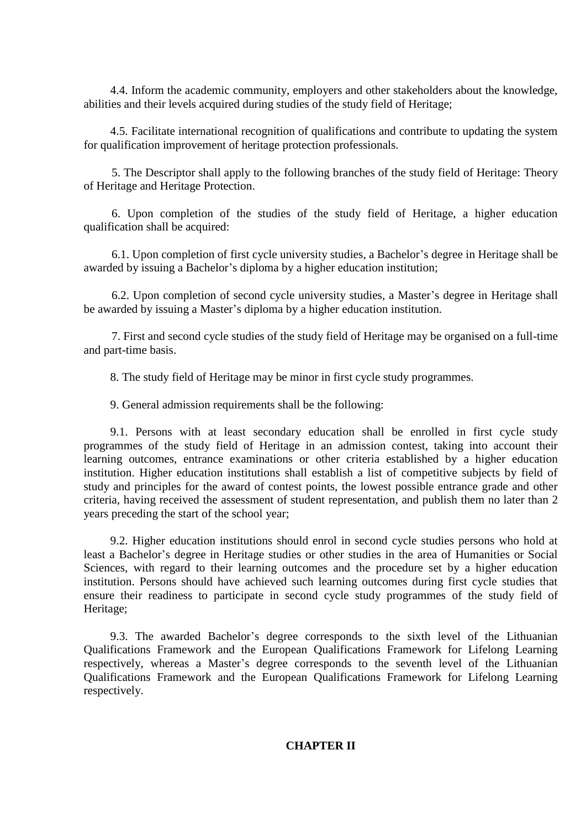4.4. Inform the academic community, employers and other stakeholders about the knowledge, abilities and their levels acquired during studies of the study field of Heritage;

4.5. Facilitate international recognition of qualifications and contribute to updating the system for qualification improvement of heritage protection professionals.

5. The Descriptor shall apply to the following branches of the study field of Heritage: Theory of Heritage and Heritage Protection.

6. Upon completion of the studies of the study field of Heritage, a higher education qualification shall be acquired:

6.1. Upon completion of first cycle university studies, a Bachelor's degree in Heritage shall be awarded by issuing a Bachelor's diploma by a higher education institution;

6.2. Upon completion of second cycle university studies, a Master's degree in Heritage shall be awarded by issuing a Master's diploma by a higher education institution.

7. First and second cycle studies of the study field of Heritage may be organised on a full-time and part-time basis.

8. The study field of Heritage may be minor in first cycle study programmes.

9. General admission requirements shall be the following:

9.1. Persons with at least secondary education shall be enrolled in first cycle study programmes of the study field of Heritage in an admission contest, taking into account their learning outcomes, entrance examinations or other criteria established by a higher education institution. Higher education institutions shall establish a list of competitive subjects by field of study and principles for the award of contest points, the lowest possible entrance grade and other criteria, having received the assessment of student representation, and publish them no later than 2 years preceding the start of the school year;

9.2. Higher education institutions should enrol in second cycle studies persons who hold at least a Bachelor's degree in Heritage studies or other studies in the area of Humanities or Social Sciences, with regard to their learning outcomes and the procedure set by a higher education institution. Persons should have achieved such learning outcomes during first cycle studies that ensure their readiness to participate in second cycle study programmes of the study field of Heritage;

9.3. The awarded Bachelor's degree corresponds to the sixth level of the Lithuanian Qualifications Framework and the European Qualifications Framework for Lifelong Learning respectively, whereas a Master's degree corresponds to the seventh level of the Lithuanian Qualifications Framework and the European Qualifications Framework for Lifelong Learning respectively.

# **CHAPTER II**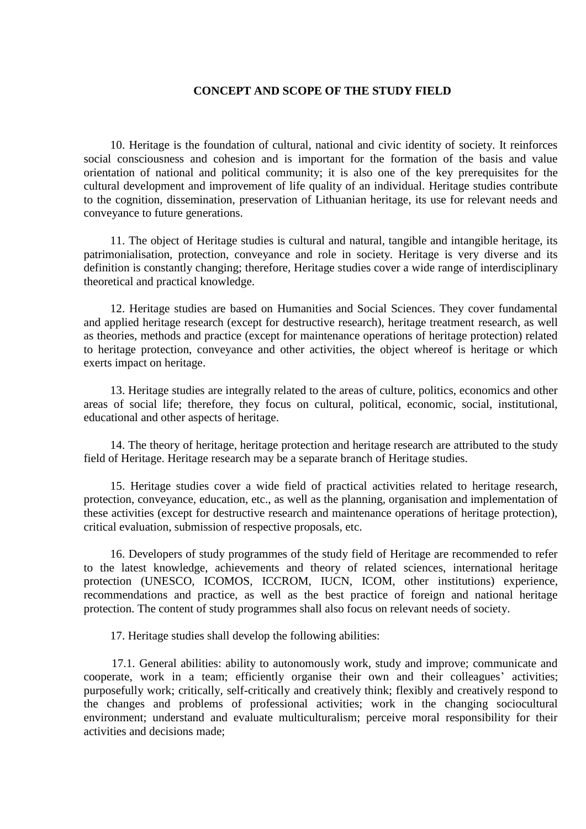### **CONCEPT AND SCOPE OF THE STUDY FIELD**

10. Heritage is the foundation of cultural, national and civic identity of society. It reinforces social consciousness and cohesion and is important for the formation of the basis and value orientation of national and political community; it is also one of the key prerequisites for the cultural development and improvement of life quality of an individual. Heritage studies contribute to the cognition, dissemination, preservation of Lithuanian heritage, its use for relevant needs and conveyance to future generations.

11. The object of Heritage studies is cultural and natural, tangible and intangible heritage, its patrimonialisation, protection, conveyance and role in society. Heritage is very diverse and its definition is constantly changing; therefore, Heritage studies cover a wide range of interdisciplinary theoretical and practical knowledge.

12. Heritage studies are based on Humanities and Social Sciences. They cover fundamental and applied heritage research (except for destructive research), heritage treatment research, as well as theories, methods and practice (except for maintenance operations of heritage protection) related to heritage protection, conveyance and other activities, the object whereof is heritage or which exerts impact on heritage.

13. Heritage studies are integrally related to the areas of culture, politics, economics and other areas of social life; therefore, they focus on cultural, political, economic, social, institutional, educational and other aspects of heritage.

14. The theory of heritage, heritage protection and heritage research are attributed to the study field of Heritage. Heritage research may be a separate branch of Heritage studies.

15. Heritage studies cover a wide field of practical activities related to heritage research, protection, conveyance, education, etc., as well as the planning, organisation and implementation of these activities (except for destructive research and maintenance operations of heritage protection), critical evaluation, submission of respective proposals, etc.

16. Developers of study programmes of the study field of Heritage are recommended to refer to the latest knowledge, achievements and theory of related sciences, international heritage protection (UNESCO, ICOMOS, ICCROM, IUCN, ICOM, other institutions) experience, recommendations and practice, as well as the best practice of foreign and national heritage protection. The content of study programmes shall also focus on relevant needs of society.

17. Heritage studies shall develop the following abilities:

17.1. General abilities: ability to autonomously work, study and improve; communicate and cooperate, work in a team; efficiently organise their own and their colleagues' activities; purposefully work; critically, self-critically and creatively think; flexibly and creatively respond to the changes and problems of professional activities; work in the changing sociocultural environment; understand and evaluate multiculturalism; perceive moral responsibility for their activities and decisions made;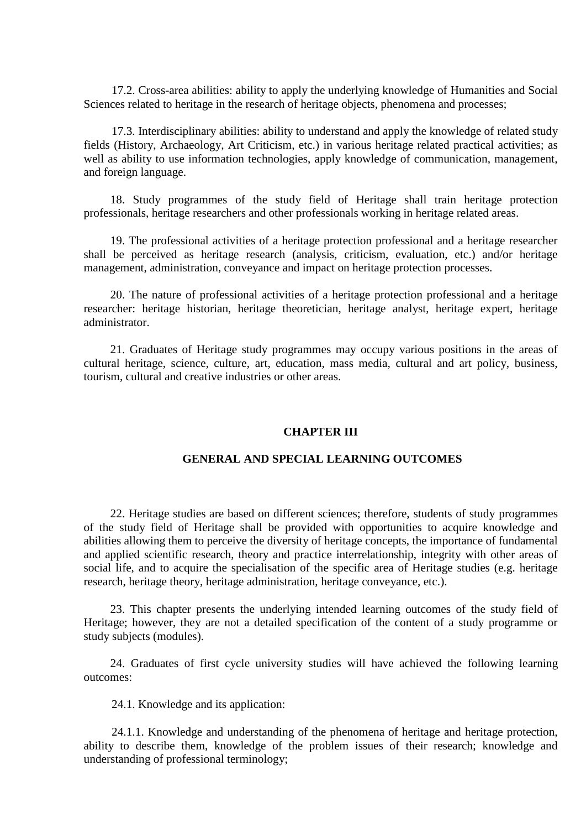17.2. Cross-area abilities: ability to apply the underlying knowledge of Humanities and Social Sciences related to heritage in the research of heritage objects, phenomena and processes;

17.3. Interdisciplinary abilities: ability to understand and apply the knowledge of related study fields (History, Archaeology, Art Criticism, etc.) in various heritage related practical activities; as well as ability to use information technologies, apply knowledge of communication, management, and foreign language.

18. Study programmes of the study field of Heritage shall train heritage protection professionals, heritage researchers and other professionals working in heritage related areas.

19. The professional activities of a heritage protection professional and a heritage researcher shall be perceived as heritage research (analysis, criticism, evaluation, etc.) and/or heritage management, administration, conveyance and impact on heritage protection processes.

20. The nature of professional activities of a heritage protection professional and a heritage researcher: heritage historian, heritage theoretician, heritage analyst, heritage expert, heritage administrator.

21. Graduates of Heritage study programmes may occupy various positions in the areas of cultural heritage, science, culture, art, education, mass media, cultural and art policy, business, tourism, cultural and creative industries or other areas.

#### **CHAPTER III**

### **GENERAL AND SPECIAL LEARNING OUTCOMES**

22. Heritage studies are based on different sciences; therefore, students of study programmes of the study field of Heritage shall be provided with opportunities to acquire knowledge and abilities allowing them to perceive the diversity of heritage concepts, the importance of fundamental and applied scientific research, theory and practice interrelationship, integrity with other areas of social life, and to acquire the specialisation of the specific area of Heritage studies (e.g. heritage research, heritage theory, heritage administration, heritage conveyance, etc.).

23. This chapter presents the underlying intended learning outcomes of the study field of Heritage; however, they are not a detailed specification of the content of a study programme or study subjects (modules).

24. Graduates of first cycle university studies will have achieved the following learning outcomes:

24.1. Knowledge and its application:

24.1.1. Knowledge and understanding of the phenomena of heritage and heritage protection, ability to describe them, knowledge of the problem issues of their research; knowledge and understanding of professional terminology;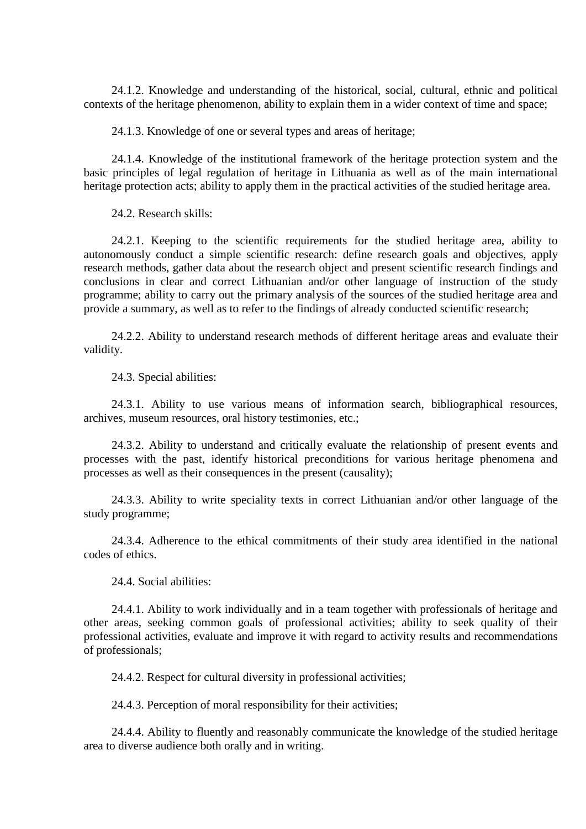24.1.2. Knowledge and understanding of the historical, social, cultural, ethnic and political contexts of the heritage phenomenon, ability to explain them in a wider context of time and space;

24.1.3. Knowledge of one or several types and areas of heritage;

24.1.4. Knowledge of the institutional framework of the heritage protection system and the basic principles of legal regulation of heritage in Lithuania as well as of the main international heritage protection acts; ability to apply them in the practical activities of the studied heritage area.

24.2. Research skills:

24.2.1. Keeping to the scientific requirements for the studied heritage area, ability to autonomously conduct a simple scientific research: define research goals and objectives, apply research methods, gather data about the research object and present scientific research findings and conclusions in clear and correct Lithuanian and/or other language of instruction of the study programme; ability to carry out the primary analysis of the sources of the studied heritage area and provide a summary, as well as to refer to the findings of already conducted scientific research;

24.2.2. Ability to understand research methods of different heritage areas and evaluate their validity.

24.3. Special abilities:

24.3.1. Ability to use various means of information search, bibliographical resources, archives, museum resources, oral history testimonies, etc.;

24.3.2. Ability to understand and critically evaluate the relationship of present events and processes with the past, identify historical preconditions for various heritage phenomena and processes as well as their consequences in the present (causality);

24.3.3. Ability to write speciality texts in correct Lithuanian and/or other language of the study programme;

24.3.4. Adherence to the ethical commitments of their study area identified in the national codes of ethics.

24.4. Social abilities:

24.4.1. Ability to work individually and in a team together with professionals of heritage and other areas, seeking common goals of professional activities; ability to seek quality of their professional activities, evaluate and improve it with regard to activity results and recommendations of professionals;

24.4.2. Respect for cultural diversity in professional activities;

24.4.3. Perception of moral responsibility for their activities;

24.4.4. Ability to fluently and reasonably communicate the knowledge of the studied heritage area to diverse audience both orally and in writing.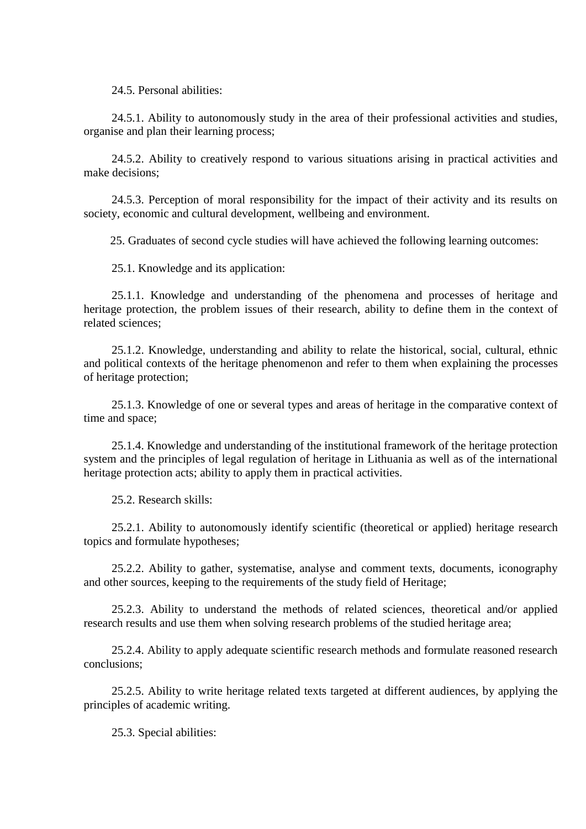24.5. Personal abilities:

24.5.1. Ability to autonomously study in the area of their professional activities and studies, organise and plan their learning process;

24.5.2. Ability to creatively respond to various situations arising in practical activities and make decisions;

24.5.3. Perception of moral responsibility for the impact of their activity and its results on society, economic and cultural development, wellbeing and environment.

25. Graduates of second cycle studies will have achieved the following learning outcomes:

25.1. Knowledge and its application:

25.1.1. Knowledge and understanding of the phenomena and processes of heritage and heritage protection, the problem issues of their research, ability to define them in the context of related sciences;

25.1.2. Knowledge, understanding and ability to relate the historical, social, cultural, ethnic and political contexts of the heritage phenomenon and refer to them when explaining the processes of heritage protection;

25.1.3. Knowledge of one or several types and areas of heritage in the comparative context of time and space;

25.1.4. Knowledge and understanding of the institutional framework of the heritage protection system and the principles of legal regulation of heritage in Lithuania as well as of the international heritage protection acts; ability to apply them in practical activities.

25.2. Research skills:

25.2.1. Ability to autonomously identify scientific (theoretical or applied) heritage research topics and formulate hypotheses;

25.2.2. Ability to gather, systematise, analyse and comment texts, documents, iconography and other sources, keeping to the requirements of the study field of Heritage;

25.2.3. Ability to understand the methods of related sciences, theoretical and/or applied research results and use them when solving research problems of the studied heritage area;

25.2.4. Ability to apply adequate scientific research methods and formulate reasoned research conclusions;

25.2.5. Ability to write heritage related texts targeted at different audiences, by applying the principles of academic writing.

25.3. Special abilities: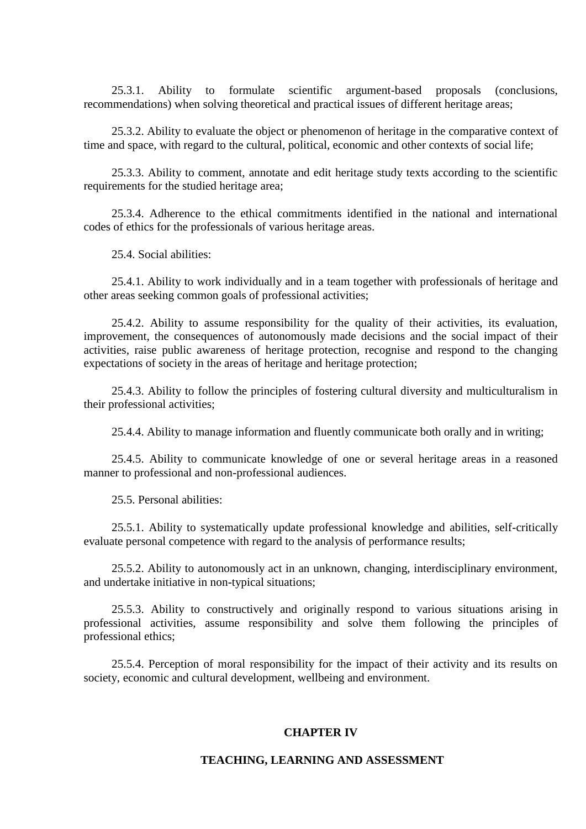25.3.1. Ability to formulate scientific argument-based proposals (conclusions, recommendations) when solving theoretical and practical issues of different heritage areas;

25.3.2. Ability to evaluate the object or phenomenon of heritage in the comparative context of time and space, with regard to the cultural, political, economic and other contexts of social life;

25.3.3. Ability to comment, annotate and edit heritage study texts according to the scientific requirements for the studied heritage area;

25.3.4. Adherence to the ethical commitments identified in the national and international codes of ethics for the professionals of various heritage areas.

25.4. Social abilities:

25.4.1. Ability to work individually and in a team together with professionals of heritage and other areas seeking common goals of professional activities;

25.4.2. Ability to assume responsibility for the quality of their activities, its evaluation, improvement, the consequences of autonomously made decisions and the social impact of their activities, raise public awareness of heritage protection, recognise and respond to the changing expectations of society in the areas of heritage and heritage protection;

25.4.3. Ability to follow the principles of fostering cultural diversity and multiculturalism in their professional activities;

25.4.4. Ability to manage information and fluently communicate both orally and in writing;

25.4.5. Ability to communicate knowledge of one or several heritage areas in a reasoned manner to professional and non-professional audiences.

25.5. Personal abilities:

25.5.1. Ability to systematically update professional knowledge and abilities, self-critically evaluate personal competence with regard to the analysis of performance results;

25.5.2. Ability to autonomously act in an unknown, changing, interdisciplinary environment, and undertake initiative in non-typical situations;

25.5.3. Ability to constructively and originally respond to various situations arising in professional activities, assume responsibility and solve them following the principles of professional ethics;

25.5.4. Perception of moral responsibility for the impact of their activity and its results on society, economic and cultural development, wellbeing and environment.

#### **CHAPTER IV**

#### **TEACHING, LEARNING AND ASSESSMENT**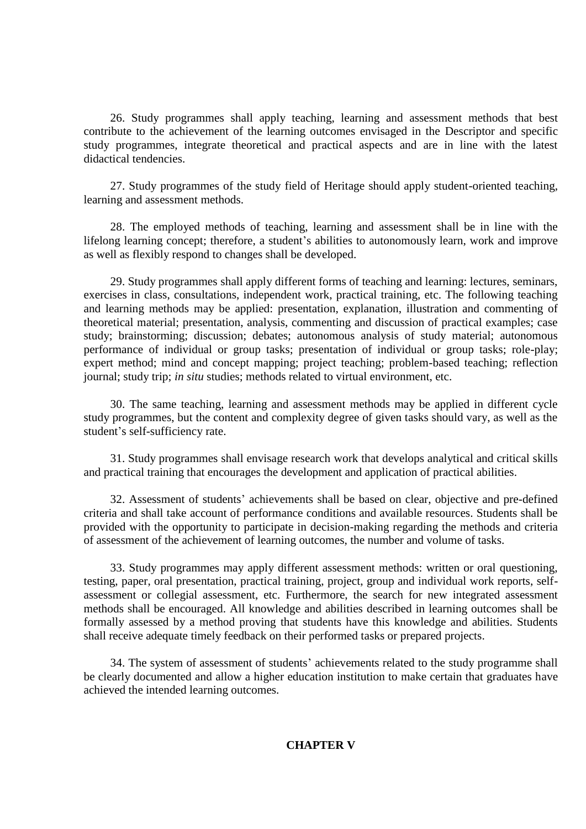26. Study programmes shall apply teaching, learning and assessment methods that best contribute to the achievement of the learning outcomes envisaged in the Descriptor and specific study programmes, integrate theoretical and practical aspects and are in line with the latest didactical tendencies.

27. Study programmes of the study field of Heritage should apply student-oriented teaching, learning and assessment methods.

28. The employed methods of teaching, learning and assessment shall be in line with the lifelong learning concept; therefore, a student's abilities to autonomously learn, work and improve as well as flexibly respond to changes shall be developed.

29. Study programmes shall apply different forms of teaching and learning: lectures, seminars, exercises in class, consultations, independent work, practical training, etc. The following teaching and learning methods may be applied: presentation, explanation, illustration and commenting of theoretical material; presentation, analysis, commenting and discussion of practical examples; case study; brainstorming; discussion; debates; autonomous analysis of study material; autonomous performance of individual or group tasks; presentation of individual or group tasks; role-play; expert method; mind and concept mapping; project teaching; problem-based teaching; reflection journal; study trip; *in situ* studies; methods related to virtual environment, etc.

30. The same teaching, learning and assessment methods may be applied in different cycle study programmes, but the content and complexity degree of given tasks should vary, as well as the student's self-sufficiency rate.

31. Study programmes shall envisage research work that develops analytical and critical skills and practical training that encourages the development and application of practical abilities.

32. Assessment of students' achievements shall be based on clear, objective and pre-defined criteria and shall take account of performance conditions and available resources. Students shall be provided with the opportunity to participate in decision-making regarding the methods and criteria of assessment of the achievement of learning outcomes, the number and volume of tasks.

33. Study programmes may apply different assessment methods: written or oral questioning, testing, paper, oral presentation, practical training, project, group and individual work reports, selfassessment or collegial assessment, etc. Furthermore, the search for new integrated assessment methods shall be encouraged. All knowledge and abilities described in learning outcomes shall be formally assessed by a method proving that students have this knowledge and abilities. Students shall receive adequate timely feedback on their performed tasks or prepared projects.

34. The system of assessment of students' achievements related to the study programme shall be clearly documented and allow a higher education institution to make certain that graduates have achieved the intended learning outcomes.

# **CHAPTER V**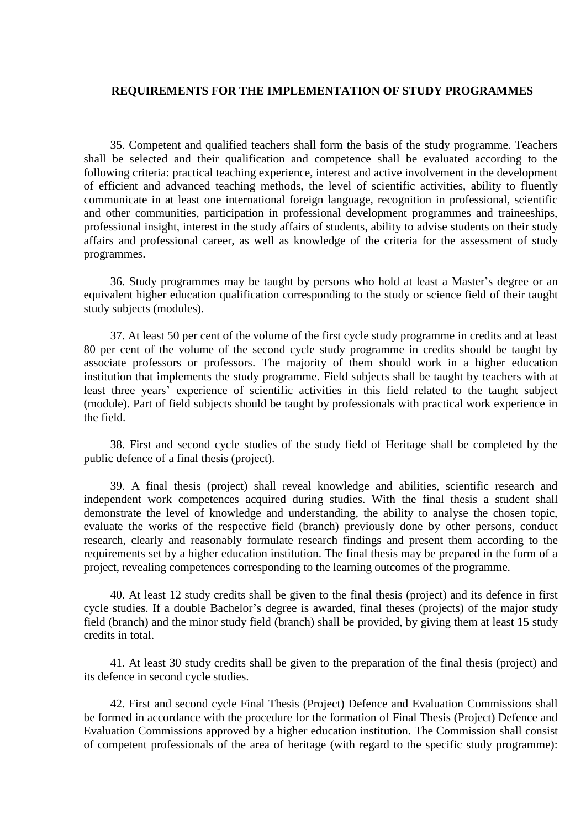# **REQUIREMENTS FOR THE IMPLEMENTATION OF STUDY PROGRAMMES**

35. Competent and qualified teachers shall form the basis of the study programme. Teachers shall be selected and their qualification and competence shall be evaluated according to the following criteria: practical teaching experience, interest and active involvement in the development of efficient and advanced teaching methods, the level of scientific activities, ability to fluently communicate in at least one international foreign language, recognition in professional, scientific and other communities, participation in professional development programmes and traineeships, professional insight, interest in the study affairs of students, ability to advise students on their study affairs and professional career, as well as knowledge of the criteria for the assessment of study programmes.

36. Study programmes may be taught by persons who hold at least a Master's degree or an equivalent higher education qualification corresponding to the study or science field of their taught study subjects (modules).

37. At least 50 per cent of the volume of the first cycle study programme in credits and at least 80 per cent of the volume of the second cycle study programme in credits should be taught by associate professors or professors. The majority of them should work in a higher education institution that implements the study programme. Field subjects shall be taught by teachers with at least three years' experience of scientific activities in this field related to the taught subject (module). Part of field subjects should be taught by professionals with practical work experience in the field.

38. First and second cycle studies of the study field of Heritage shall be completed by the public defence of a final thesis (project).

39. A final thesis (project) shall reveal knowledge and abilities, scientific research and independent work competences acquired during studies. With the final thesis a student shall demonstrate the level of knowledge and understanding, the ability to analyse the chosen topic, evaluate the works of the respective field (branch) previously done by other persons, conduct research, clearly and reasonably formulate research findings and present them according to the requirements set by a higher education institution. The final thesis may be prepared in the form of a project, revealing competences corresponding to the learning outcomes of the programme.

40. At least 12 study credits shall be given to the final thesis (project) and its defence in first cycle studies. If a double Bachelor's degree is awarded, final theses (projects) of the major study field (branch) and the minor study field (branch) shall be provided, by giving them at least 15 study credits in total.

41. At least 30 study credits shall be given to the preparation of the final thesis (project) and its defence in second cycle studies.

42. First and second cycle Final Thesis (Project) Defence and Evaluation Commissions shall be formed in accordance with the procedure for the formation of Final Thesis (Project) Defence and Evaluation Commissions approved by a higher education institution. The Commission shall consist of competent professionals of the area of heritage (with regard to the specific study programme):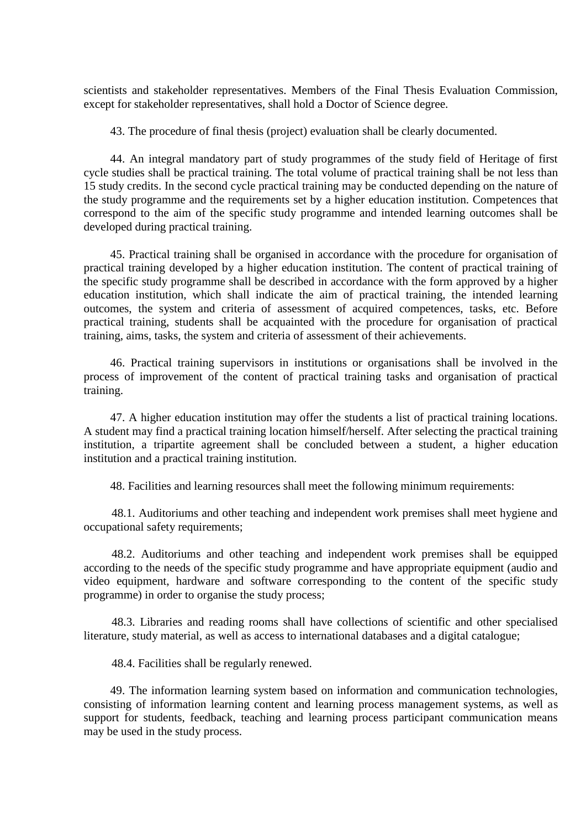scientists and stakeholder representatives. Members of the Final Thesis Evaluation Commission, except for stakeholder representatives, shall hold a Doctor of Science degree.

43. The procedure of final thesis (project) evaluation shall be clearly documented.

44. An integral mandatory part of study programmes of the study field of Heritage of first cycle studies shall be practical training. The total volume of practical training shall be not less than 15 study credits. In the second cycle practical training may be conducted depending on the nature of the study programme and the requirements set by a higher education institution. Competences that correspond to the aim of the specific study programme and intended learning outcomes shall be developed during practical training.

45. Practical training shall be organised in accordance with the procedure for organisation of practical training developed by a higher education institution. The content of practical training of the specific study programme shall be described in accordance with the form approved by a higher education institution, which shall indicate the aim of practical training, the intended learning outcomes, the system and criteria of assessment of acquired competences, tasks, etc. Before practical training, students shall be acquainted with the procedure for organisation of practical training, aims, tasks, the system and criteria of assessment of their achievements.

46. Practical training supervisors in institutions or organisations shall be involved in the process of improvement of the content of practical training tasks and organisation of practical training.

47. A higher education institution may offer the students a list of practical training locations. A student may find a practical training location himself/herself. After selecting the practical training institution, a tripartite agreement shall be concluded between a student, a higher education institution and a practical training institution.

48. Facilities and learning resources shall meet the following minimum requirements:

48.1. Auditoriums and other teaching and independent work premises shall meet hygiene and occupational safety requirements;

48.2. Auditoriums and other teaching and independent work premises shall be equipped according to the needs of the specific study programme and have appropriate equipment (audio and video equipment, hardware and software corresponding to the content of the specific study programme) in order to organise the study process;

48.3. Libraries and reading rooms shall have collections of scientific and other specialised literature, study material, as well as access to international databases and a digital catalogue;

48.4. Facilities shall be regularly renewed.

49. The information learning system based on information and communication technologies, consisting of information learning content and learning process management systems, as well as support for students, feedback, teaching and learning process participant communication means may be used in the study process.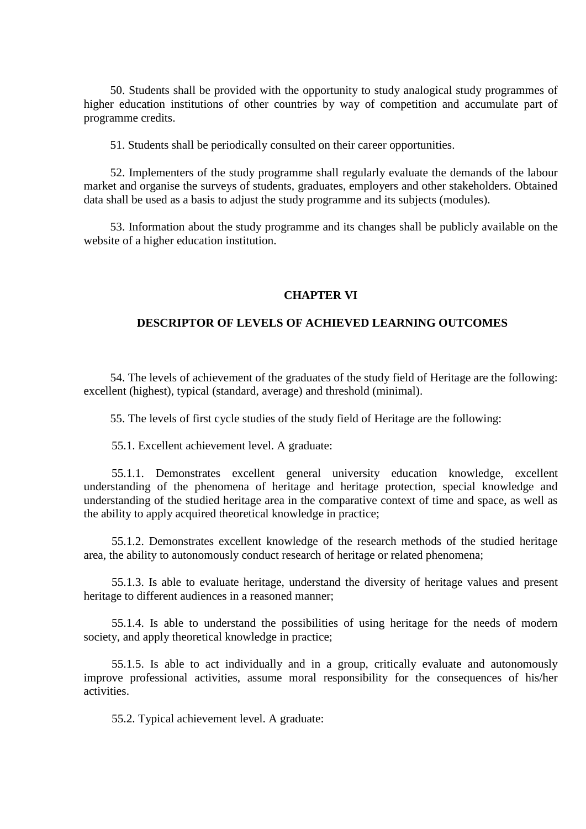50. Students shall be provided with the opportunity to study analogical study programmes of higher education institutions of other countries by way of competition and accumulate part of programme credits.

51. Students shall be periodically consulted on their career opportunities.

52. Implementers of the study programme shall regularly evaluate the demands of the labour market and organise the surveys of students, graduates, employers and other stakeholders. Obtained data shall be used as a basis to adjust the study programme and its subjects (modules).

53. Information about the study programme and its changes shall be publicly available on the website of a higher education institution.

### **CHAPTER VI**

## **DESCRIPTOR OF LEVELS OF ACHIEVED LEARNING OUTCOMES**

54. The levels of achievement of the graduates of the study field of Heritage are the following: excellent (highest), typical (standard, average) and threshold (minimal).

55. The levels of first cycle studies of the study field of Heritage are the following:

55.1. Excellent achievement level. A graduate:

55.1.1. Demonstrates excellent general university education knowledge, excellent understanding of the phenomena of heritage and heritage protection, special knowledge and understanding of the studied heritage area in the comparative context of time and space, as well as the ability to apply acquired theoretical knowledge in practice;

55.1.2. Demonstrates excellent knowledge of the research methods of the studied heritage area, the ability to autonomously conduct research of heritage or related phenomena;

55.1.3. Is able to evaluate heritage, understand the diversity of heritage values and present heritage to different audiences in a reasoned manner;

55.1.4. Is able to understand the possibilities of using heritage for the needs of modern society, and apply theoretical knowledge in practice;

55.1.5. Is able to act individually and in a group, critically evaluate and autonomously improve professional activities, assume moral responsibility for the consequences of his/her activities.

55.2. Typical achievement level. A graduate: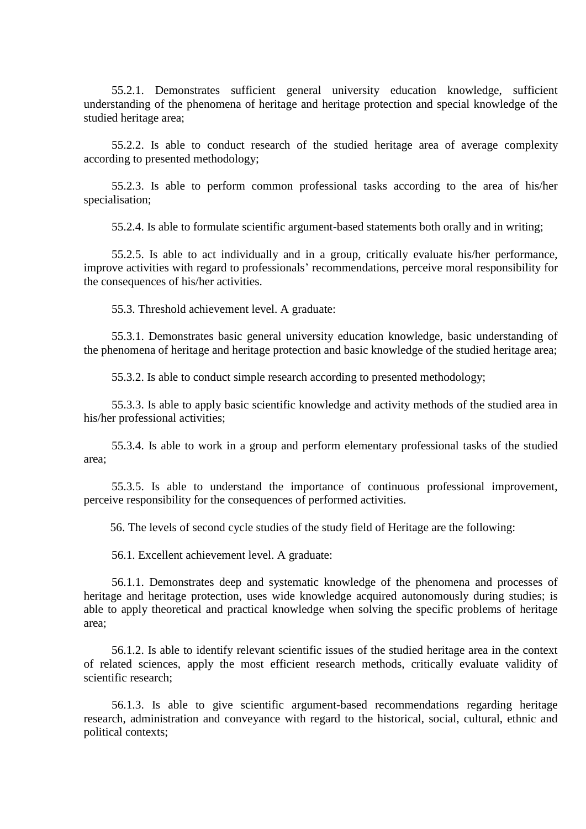55.2.1. Demonstrates sufficient general university education knowledge, sufficient understanding of the phenomena of heritage and heritage protection and special knowledge of the studied heritage area;

55.2.2. Is able to conduct research of the studied heritage area of average complexity according to presented methodology;

55.2.3. Is able to perform common professional tasks according to the area of his/her specialisation;

55.2.4. Is able to formulate scientific argument-based statements both orally and in writing;

55.2.5. Is able to act individually and in a group, critically evaluate his/her performance, improve activities with regard to professionals' recommendations, perceive moral responsibility for the consequences of his/her activities.

55.3. Threshold achievement level. A graduate:

55.3.1. Demonstrates basic general university education knowledge, basic understanding of the phenomena of heritage and heritage protection and basic knowledge of the studied heritage area;

55.3.2. Is able to conduct simple research according to presented methodology;

55.3.3. Is able to apply basic scientific knowledge and activity methods of the studied area in his/her professional activities;

55.3.4. Is able to work in a group and perform elementary professional tasks of the studied area;

55.3.5. Is able to understand the importance of continuous professional improvement, perceive responsibility for the consequences of performed activities.

56. The levels of second cycle studies of the study field of Heritage are the following:

56.1. Excellent achievement level. A graduate:

56.1.1. Demonstrates deep and systematic knowledge of the phenomena and processes of heritage and heritage protection, uses wide knowledge acquired autonomously during studies; is able to apply theoretical and practical knowledge when solving the specific problems of heritage area;

56.1.2. Is able to identify relevant scientific issues of the studied heritage area in the context of related sciences, apply the most efficient research methods, critically evaluate validity of scientific research;

56.1.3. Is able to give scientific argument-based recommendations regarding heritage research, administration and conveyance with regard to the historical, social, cultural, ethnic and political contexts;